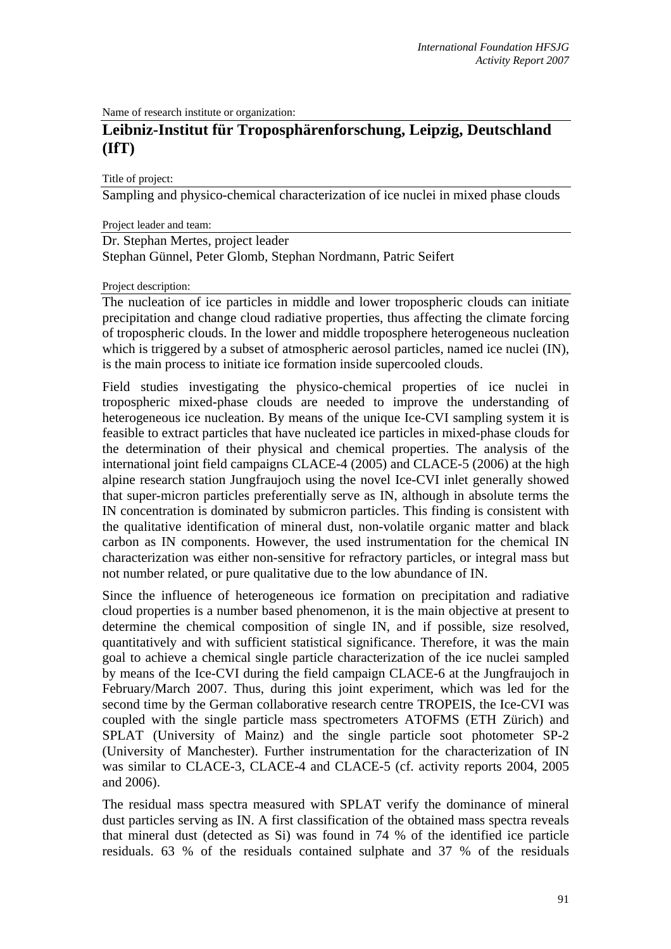Name of research institute or organization:

# **Leibniz-Institut für Troposphärenforschung, Leipzig, Deutschland (IfT)**

Title of project:

Sampling and physico-chemical characterization of ice nuclei in mixed phase clouds

Project leader and team:

Dr. Stephan Mertes, project leader Stephan Günnel, Peter Glomb, Stephan Nordmann, Patric Seifert

#### Project description:

The nucleation of ice particles in middle and lower tropospheric clouds can initiate precipitation and change cloud radiative properties, thus affecting the climate forcing of tropospheric clouds. In the lower and middle troposphere heterogeneous nucleation which is triggered by a subset of atmospheric aerosol particles, named ice nuclei (IN), is the main process to initiate ice formation inside supercooled clouds.

Field studies investigating the physico-chemical properties of ice nuclei in tropospheric mixed-phase clouds are needed to improve the understanding of heterogeneous ice nucleation. By means of the unique Ice-CVI sampling system it is feasible to extract particles that have nucleated ice particles in mixed-phase clouds for the determination of their physical and chemical properties. The analysis of the international joint field campaigns CLACE-4 (2005) and CLACE-5 (2006) at the high alpine research station Jungfraujoch using the novel Ice-CVI inlet generally showed that super-micron particles preferentially serve as IN, although in absolute terms the IN concentration is dominated by submicron particles. This finding is consistent with the qualitative identification of mineral dust, non-volatile organic matter and black carbon as IN components. However, the used instrumentation for the chemical IN characterization was either non-sensitive for refractory particles, or integral mass but not number related, or pure qualitative due to the low abundance of IN.

Since the influence of heterogeneous ice formation on precipitation and radiative cloud properties is a number based phenomenon, it is the main objective at present to determine the chemical composition of single IN, and if possible, size resolved, quantitatively and with sufficient statistical significance. Therefore, it was the main goal to achieve a chemical single particle characterization of the ice nuclei sampled by means of the Ice-CVI during the field campaign CLACE-6 at the Jungfraujoch in February/March 2007. Thus, during this joint experiment, which was led for the second time by the German collaborative research centre TROPEIS, the Ice-CVI was coupled with the single particle mass spectrometers ATOFMS (ETH Zürich) and SPLAT (University of Mainz) and the single particle soot photometer SP-2 (University of Manchester). Further instrumentation for the characterization of IN was similar to CLACE-3, CLACE-4 and CLACE-5 (cf. activity reports 2004, 2005 and 2006).

The residual mass spectra measured with SPLAT verify the dominance of mineral dust particles serving as IN. A first classification of the obtained mass spectra reveals that mineral dust (detected as Si) was found in 74 % of the identified ice particle residuals. 63 % of the residuals contained sulphate and 37 % of the residuals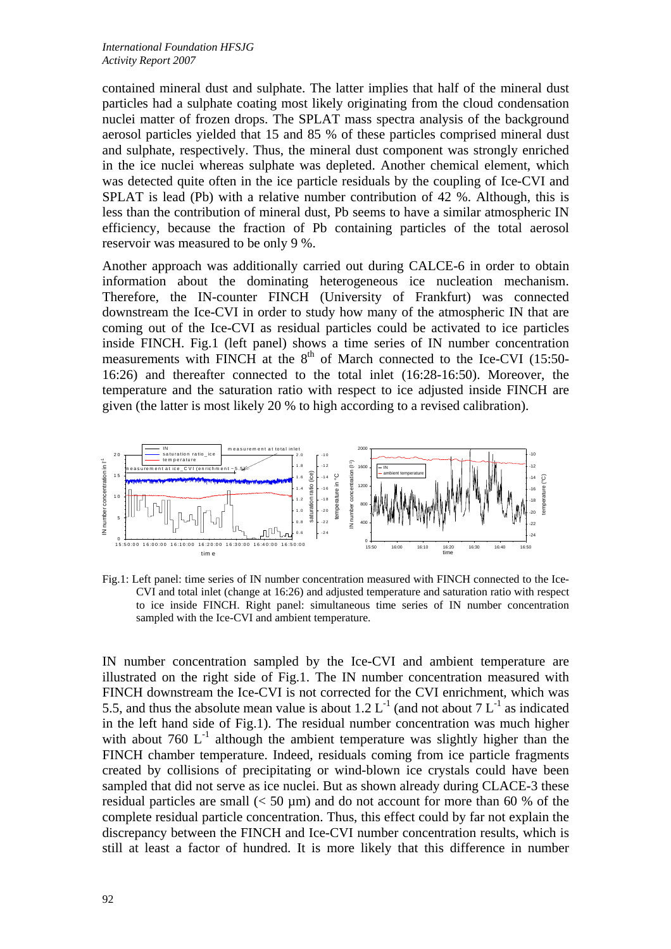contained mineral dust and sulphate. The latter implies that half of the mineral dust particles had a sulphate coating most likely originating from the cloud condensation nuclei matter of frozen drops. The SPLAT mass spectra analysis of the background aerosol particles yielded that 15 and 85 % of these particles comprised mineral dust and sulphate, respectively. Thus, the mineral dust component was strongly enriched in the ice nuclei whereas sulphate was depleted. Another chemical element, which was detected quite often in the ice particle residuals by the coupling of Ice-CVI and SPLAT is lead (Pb) with a relative number contribution of 42 %. Although, this is less than the contribution of mineral dust, Pb seems to have a similar atmospheric IN efficiency, because the fraction of Pb containing particles of the total aerosol reservoir was measured to be only 9 %.

Another approach was additionally carried out during CALCE-6 in order to obtain information about the dominating heterogeneous ice nucleation mechanism. Therefore, the IN-counter FINCH (University of Frankfurt) was connected downstream the Ice-CVI in order to study how many of the atmospheric IN that are coming out of the Ice-CVI as residual particles could be activated to ice particles inside FINCH. Fig.1 (left panel) shows a time series of IN number concentration measurements with FINCH at the 8<sup>th</sup> of March connected to the Ice-CVI (15:50-16:26) and thereafter connected to the total inlet (16:28-16:50). Moreover, the temperature and the saturation ratio with respect to ice adjusted inside FINCH are given (the latter is most likely 20 % to high according to a revised calibration).



Fig.1: Left panel: time series of IN number concentration measured with FINCH connected to the Ice-CVI and total inlet (change at 16:26) and adjusted temperature and saturation ratio with respect to ice inside FINCH. Right panel: simultaneous time series of IN number concentration sampled with the Ice-CVI and ambient temperature.

IN number concentration sampled by the Ice-CVI and ambient temperature are illustrated on the right side of Fig.1. The IN number concentration measured with FINCH downstream the Ice-CVI is not corrected for the CVI enrichment, which was 5.5, and thus the absolute mean value is about 1.2  $L^{-1}$  (and not about 7  $L^{-1}$  as indicated in the left hand side of Fig.1). The residual number concentration was much higher with about 760  $L^{-1}$  although the ambient temperature was slightly higher than the FINCH chamber temperature. Indeed, residuals coming from ice particle fragments created by collisions of precipitating or wind-blown ice crystals could have been sampled that did not serve as ice nuclei. But as shown already during CLACE-3 these residual particles are small  $(< 50 \text{ µm})$  and do not account for more than 60 % of the complete residual particle concentration. Thus, this effect could by far not explain the discrepancy between the FINCH and Ice-CVI number concentration results, which is still at least a factor of hundred. It is more likely that this difference in number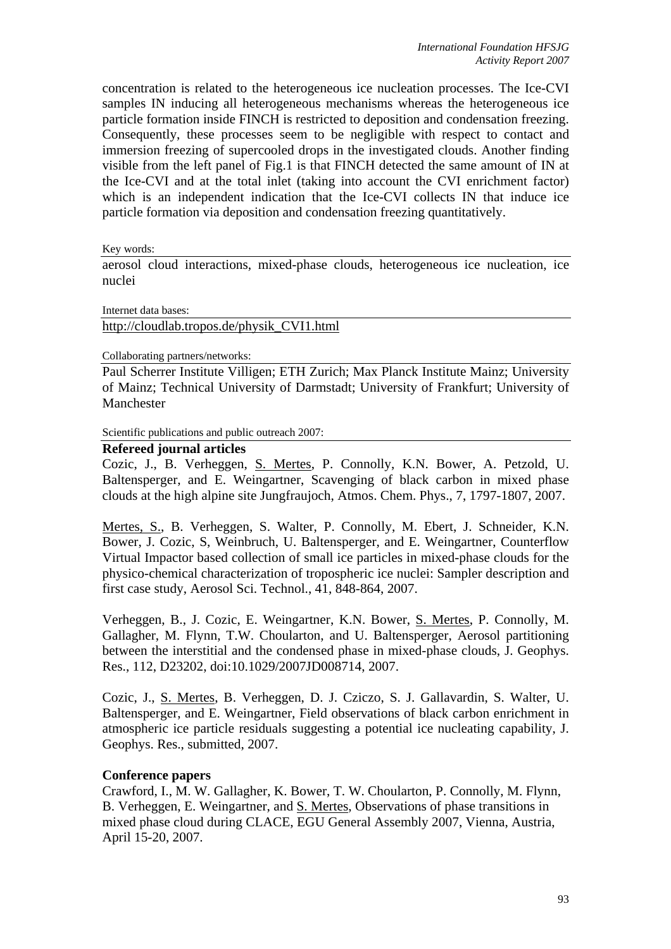concentration is related to the heterogeneous ice nucleation processes. The Ice-CVI samples IN inducing all heterogeneous mechanisms whereas the heterogeneous ice particle formation inside FINCH is restricted to deposition and condensation freezing. Consequently, these processes seem to be negligible with respect to contact and immersion freezing of supercooled drops in the investigated clouds. Another finding visible from the left panel of Fig.1 is that FINCH detected the same amount of IN at the Ice-CVI and at the total inlet (taking into account the CVI enrichment factor) which is an independent indication that the Ice-CVI collects IN that induce ice particle formation via deposition and condensation freezing quantitatively.

Key words:

aerosol cloud interactions, mixed-phase clouds, heterogeneous ice nucleation, ice nuclei

Internet data bases:

http://cloudlab.tropos.de/physik\_CVI1.html

#### Collaborating partners/networks:

Paul Scherrer Institute Villigen; ETH Zurich; Max Planck Institute Mainz; University of Mainz; Technical University of Darmstadt; University of Frankfurt; University of Manchester

Scientific publications and public outreach 2007:

# **Refereed journal articles**

Cozic, J., B. Verheggen, S. Mertes, P. Connolly, K.N. Bower, A. Petzold, U. Baltensperger, and E. Weingartner, Scavenging of black carbon in mixed phase clouds at the high alpine site Jungfraujoch, Atmos. Chem. Phys., 7, 1797-1807, 2007.

Mertes, S., B. Verheggen, S. Walter, P. Connolly, M. Ebert, J. Schneider, K.N. Bower, J. Cozic, S, Weinbruch, U. Baltensperger, and E. Weingartner, Counterflow Virtual Impactor based collection of small ice particles in mixed-phase clouds for the physico-chemical characterization of tropospheric ice nuclei: Sampler description and first case study, Aerosol Sci. Technol., 41, 848-864, 2007.

Verheggen, B., J. Cozic, E. Weingartner, K.N. Bower, S. Mertes, P. Connolly, M. Gallagher, M. Flynn, T.W. Choularton, and U. Baltensperger, Aerosol partitioning between the interstitial and the condensed phase in mixed-phase clouds, J. Geophys. Res., 112, D23202, doi:10.1029/2007JD008714, 2007.

Cozic, J., S. Mertes, B. Verheggen, D. J. Cziczo, S. J. Gallavardin, S. Walter, U. Baltensperger, and E. Weingartner, Field observations of black carbon enrichment in atmospheric ice particle residuals suggesting a potential ice nucleating capability, J. Geophys. Res., submitted, 2007.

### **Conference papers**

Crawford, I., M. W. Gallagher, K. Bower, T. W. Choularton, P. Connolly, M. Flynn, B. Verheggen, E. Weingartner, and S. Mertes, Observations of phase transitions in mixed phase cloud during CLACE, EGU General Assembly 2007, Vienna, Austria, April 15-20, 2007.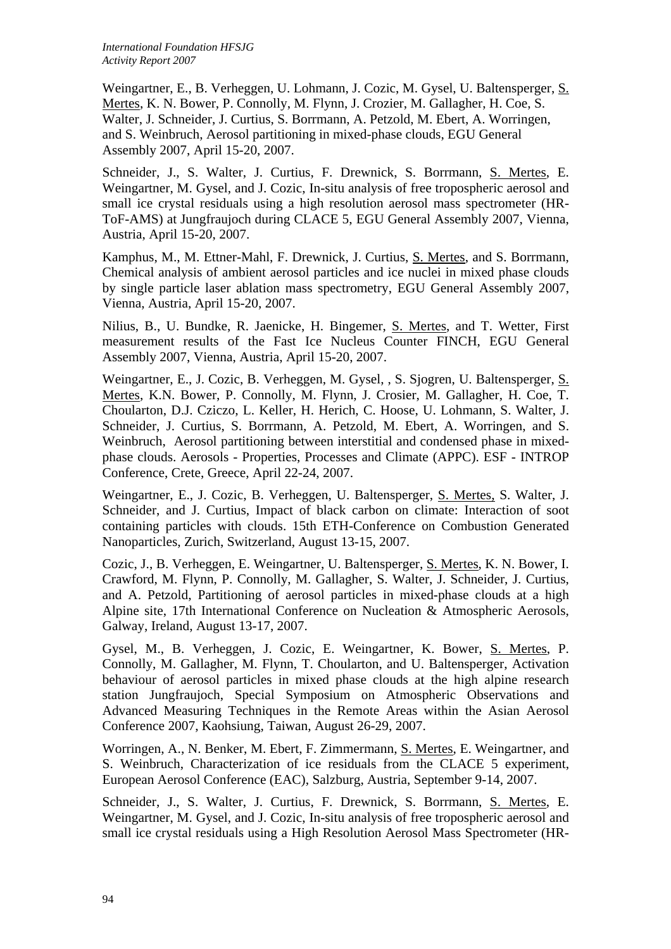Weingartner, E., B. Verheggen, U. Lohmann, J. Cozic, M. Gysel, U. Baltensperger, S. Mertes, K. N. Bower, P. Connolly, M. Flynn, J. Crozier, M. Gallagher, H. Coe, S. Walter, J. Schneider, J. Curtius, S. Borrmann, A. Petzold, M. Ebert, A. Worringen, and S. Weinbruch, Aerosol partitioning in mixed-phase clouds, EGU General Assembly 2007, April 15-20, 2007.

Schneider, J., S. Walter, J. Curtius, F. Drewnick, S. Borrmann, S. Mertes, E. Weingartner, M. Gysel, and J. Cozic, In-situ analysis of free tropospheric aerosol and small ice crystal residuals using a high resolution aerosol mass spectrometer (HR-ToF-AMS) at Jungfraujoch during CLACE 5, EGU General Assembly 2007, Vienna, Austria, April 15-20, 2007.

Kamphus, M., M. Ettner-Mahl, F. Drewnick, J. Curtius, S. Mertes, and S. Borrmann, Chemical analysis of ambient aerosol particles and ice nuclei in mixed phase clouds by single particle laser ablation mass spectrometry, EGU General Assembly 2007, Vienna, Austria, April 15-20, 2007.

Nilius, B., U. Bundke, R. Jaenicke, H. Bingemer, S. Mertes, and T. Wetter, First measurement results of the Fast Ice Nucleus Counter FINCH, EGU General Assembly 2007, Vienna, Austria, April 15-20, 2007.

Weingartner, E., J. Cozic, B. Verheggen, M. Gysel, , S. Sjogren, U. Baltensperger, S. Mertes, K.N. Bower, P. Connolly, M. Flynn, J. Crosier, M. Gallagher, H. Coe, T. Choularton, D.J. Cziczo, L. Keller, H. Herich, C. Hoose, U. Lohmann, S. Walter, J. Schneider, J. Curtius, S. Borrmann, A. Petzold, M. Ebert, A. Worringen, and S. Weinbruch, Aerosol partitioning between interstitial and condensed phase in mixedphase clouds. Aerosols - Properties, Processes and Climate (APPC). ESF - INTROP Conference, Crete, Greece, April 22-24, 2007.

Weingartner, E., J. Cozic, B. Verheggen, U. Baltensperger, S. Mertes, S. Walter, J. Schneider, and J. Curtius, Impact of black carbon on climate: Interaction of soot containing particles with clouds. 15th ETH-Conference on Combustion Generated Nanoparticles, Zurich, Switzerland, August 13-15, 2007.

Cozic, J., B. Verheggen, E. Weingartner, U. Baltensperger, S. Mertes, K. N. Bower, I. Crawford, M. Flynn, P. Connolly, M. Gallagher, S. Walter, J. Schneider, J. Curtius, and A. Petzold, Partitioning of aerosol particles in mixed-phase clouds at a high Alpine site, 17th International Conference on Nucleation & Atmospheric Aerosols, Galway, Ireland, August 13-17, 2007.

Gysel, M., B. Verheggen, J. Cozic, E. Weingartner, K. Bower, S. Mertes, P. Connolly, M. Gallagher, M. Flynn, T. Choularton, and U. Baltensperger, Activation behaviour of aerosol particles in mixed phase clouds at the high alpine research station Jungfraujoch, Special Symposium on Atmospheric Observations and Advanced Measuring Techniques in the Remote Areas within the Asian Aerosol Conference 2007, Kaohsiung, Taiwan, August 26-29, 2007.

Worringen, A., N. Benker, M. Ebert, F. Zimmermann, S. Mertes, E. Weingartner, and S. Weinbruch, Characterization of ice residuals from the CLACE 5 experiment, European Aerosol Conference (EAC), Salzburg, Austria, September 9-14, 2007.

Schneider, J., S. Walter, J. Curtius, F. Drewnick, S. Borrmann, S. Mertes, E. Weingartner, M. Gysel, and J. Cozic, In-situ analysis of free tropospheric aerosol and small ice crystal residuals using a High Resolution Aerosol Mass Spectrometer (HR-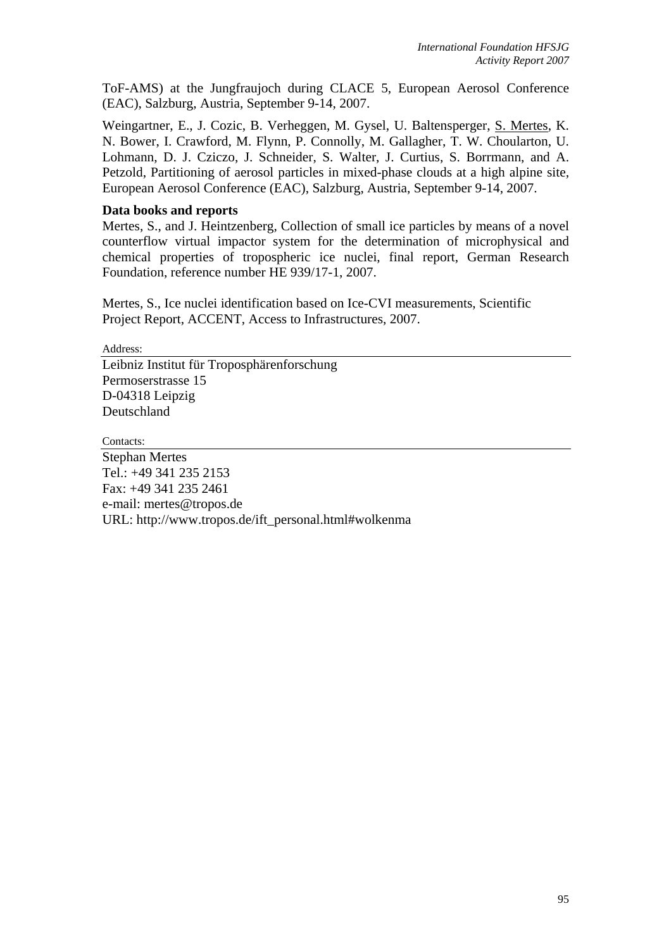ToF-AMS) at the Jungfraujoch during CLACE 5, European Aerosol Conference (EAC), Salzburg, Austria, September 9-14, 2007.

Weingartner, E., J. Cozic, B. Verheggen, M. Gysel, U. Baltensperger, S. Mertes, K. N. Bower, I. Crawford, M. Flynn, P. Connolly, M. Gallagher, T. W. Choularton, U. Lohmann, D. J. Cziczo, J. Schneider, S. Walter, J. Curtius, S. Borrmann, and A. Petzold, Partitioning of aerosol particles in mixed-phase clouds at a high alpine site, European Aerosol Conference (EAC), Salzburg, Austria, September 9-14, 2007.

# **Data books and reports**

Mertes, S., and J. Heintzenberg, Collection of small ice particles by means of a novel counterflow virtual impactor system for the determination of microphysical and chemical properties of tropospheric ice nuclei, final report, German Research Foundation, reference number HE 939/17-1, 2007.

Mertes, S., Ice nuclei identification based on Ice-CVI measurements, Scientific Project Report, ACCENT, Access to Infrastructures, 2007.

Address:

Leibniz Institut für Troposphärenforschung Permoserstrasse 15 D-04318 Leipzig Deutschland

Contacts:

Stephan Mertes Tel.: +49 341 235 2153 Fax: +49 341 235 2461 e-mail: mertes@tropos.de URL: http://www.tropos.de/ift\_personal.html#wolkenma